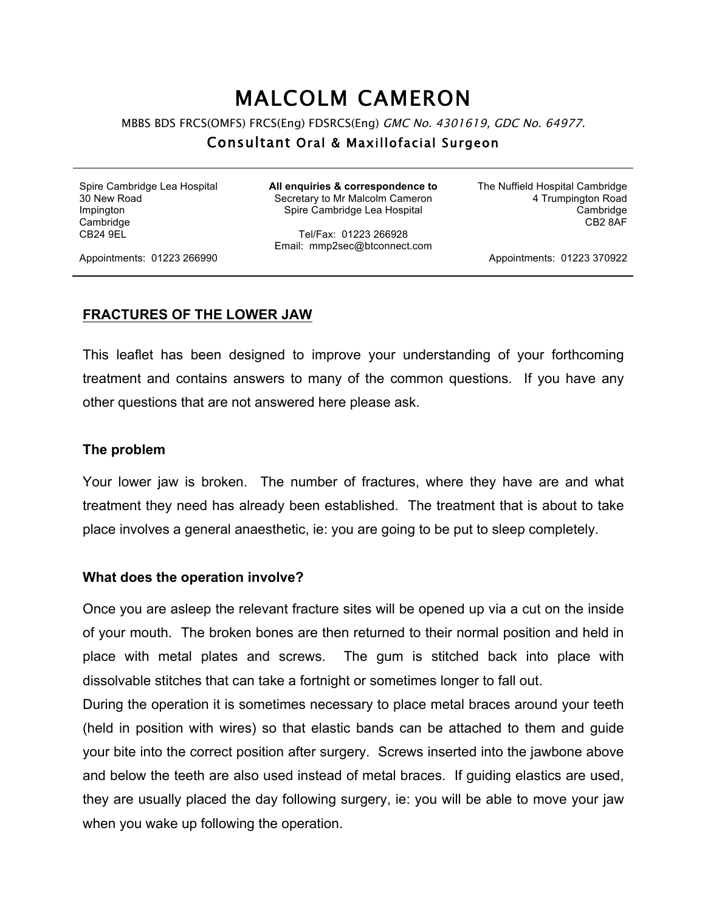# MALCOLM CAMERON

MBBS BDS FRCS(OMFS) FRCS(Eng) FDSRCS(Eng) GMC No. 4301619, GDC No. 64977.

## Consultant Oral & Maxillofacial Surgeon

Spire Cambridge Lea Hospital 30 New Road Impington **Cambridge** CB24 9EL

**All enquiries & correspondence to** Secretary to Mr Malcolm Cameron Spire Cambridge Lea Hospital

Tel/Fax: 01223 266928 Email: mmp2sec@btconnect.com The Nuffield Hospital Cambridge 4 Trumpington Road Cambridge CB2 8AF

Appointments: 01223 266990

Appointments: 01223 370922

#### **FRACTURES OF THE LOWER JAW**

This leaflet has been designed to improve your understanding of your forthcoming treatment and contains answers to many of the common questions. If you have any other questions that are not answered here please ask.

#### **The problem**

Your lower jaw is broken. The number of fractures, where they have are and what treatment they need has already been established. The treatment that is about to take place involves a general anaesthetic, ie: you are going to be put to sleep completely.

#### **What does the operation involve?**

Once you are asleep the relevant fracture sites will be opened up via a cut on the inside of your mouth. The broken bones are then returned to their normal position and held in place with metal plates and screws. The gum is stitched back into place with dissolvable stitches that can take a fortnight or sometimes longer to fall out.

During the operation it is sometimes necessary to place metal braces around your teeth (held in position with wires) so that elastic bands can be attached to them and guide your bite into the correct position after surgery. Screws inserted into the jawbone above and below the teeth are also used instead of metal braces. If guiding elastics are used, they are usually placed the day following surgery, ie: you will be able to move your jaw when you wake up following the operation.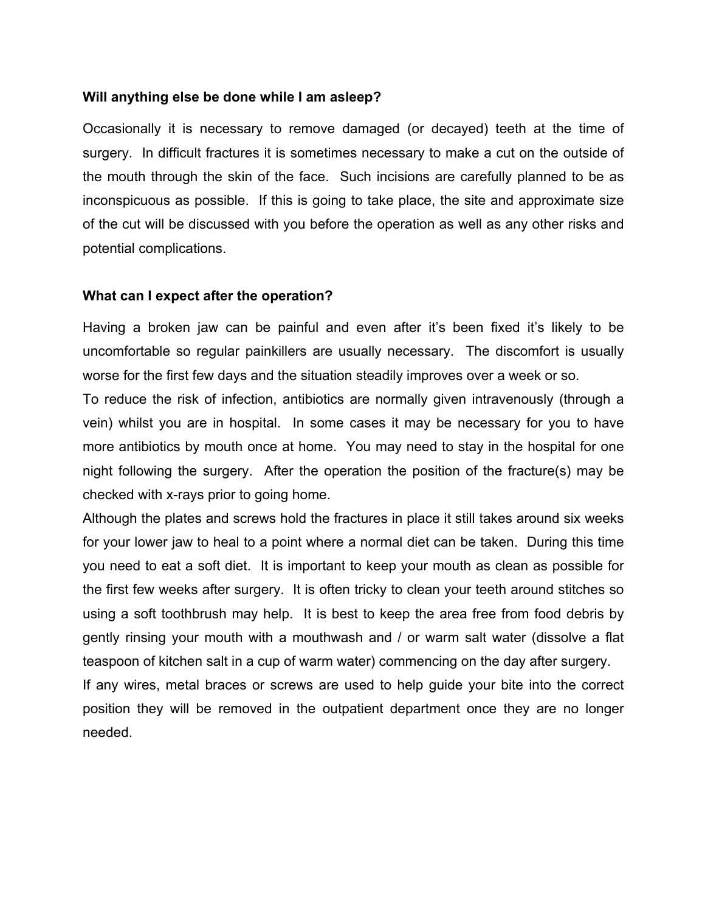### **Will anything else be done while I am asleep?**

Occasionally it is necessary to remove damaged (or decayed) teeth at the time of surgery. In difficult fractures it is sometimes necessary to make a cut on the outside of the mouth through the skin of the face. Such incisions are carefully planned to be as inconspicuous as possible. If this is going to take place, the site and approximate size of the cut will be discussed with you before the operation as well as any other risks and potential complications.

#### **What can I expect after the operation?**

Having a broken jaw can be painful and even after it's been fixed it's likely to be uncomfortable so regular painkillers are usually necessary. The discomfort is usually worse for the first few days and the situation steadily improves over a week or so.

To reduce the risk of infection, antibiotics are normally given intravenously (through a vein) whilst you are in hospital. In some cases it may be necessary for you to have more antibiotics by mouth once at home. You may need to stay in the hospital for one night following the surgery. After the operation the position of the fracture(s) may be checked with x-rays prior to going home.

Although the plates and screws hold the fractures in place it still takes around six weeks for your lower jaw to heal to a point where a normal diet can be taken. During this time you need to eat a soft diet. It is important to keep your mouth as clean as possible for the first few weeks after surgery. It is often tricky to clean your teeth around stitches so using a soft toothbrush may help. It is best to keep the area free from food debris by gently rinsing your mouth with a mouthwash and / or warm salt water (dissolve a flat teaspoon of kitchen salt in a cup of warm water) commencing on the day after surgery.

If any wires, metal braces or screws are used to help guide your bite into the correct position they will be removed in the outpatient department once they are no longer needed.